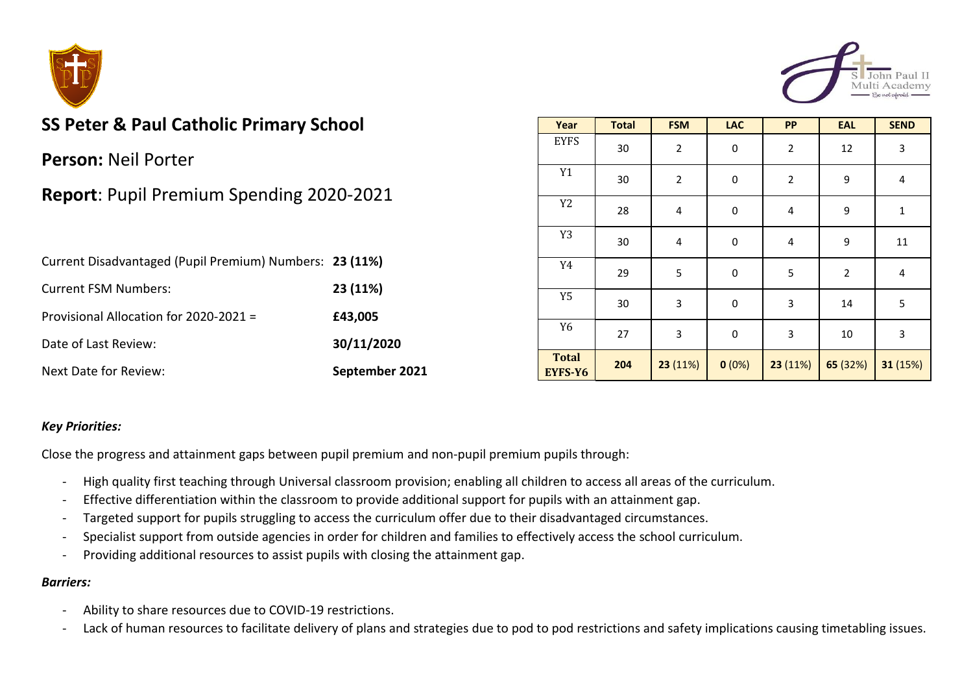



# **SS Peter & Paul Catholic Primary School**

**Person:** Neil Porter

## **Report**: Pupil Premium Spending 2020-2021

| Current Disadvantaged (Pupil Premium) Numbers: 23 (11%) |                |
|---------------------------------------------------------|----------------|
| <b>Current FSM Numbers:</b>                             | 23 (11%)       |
| Provisional Allocation for 2020-2021 =                  | £43,005        |
| Date of Last Review:                                    | 30/11/2020     |
| <b>Next Date for Review:</b>                            | September 2021 |

| Year                    | <b>Total</b> | <b>FSM</b>              | <b>LAC</b> | PP          | <b>EAL</b>     | <b>SEND</b>  |
|-------------------------|--------------|-------------------------|------------|-------------|----------------|--------------|
| <b>EYFS</b>             | 30           | $\overline{2}$          | $\pmb{0}$  | $\sqrt{2}$  | 12             | 3            |
| $\mathtt{Y1}$           | 30           | $\overline{2}$          | $\pmb{0}$  | $\mathbf 2$ | 9              | 4            |
| Y <sub>2</sub>          | 28           | $\overline{\mathbf{4}}$ | $\pmb{0}$  | 4           | 9              | $\mathbf{1}$ |
| Y3                      | 30           | $\overline{4}$          | $\pmb{0}$  | 4           | 9              | 11           |
| Y4                      | 29           | 5                       | $\pmb{0}$  | 5           | $\overline{2}$ | $\pmb{4}$    |
| Y <sub>5</sub>          | 30           | 3                       | $\pmb{0}$  | 3           | 14             | 5            |
| Y <sub>6</sub>          | 27           | 3                       | 0          | 3           | $10\,$         | 3            |
| <b>Total</b><br>EYFS-Y6 | 204          | 23 (11%)                | 0(0%)      | 23 (11%)    | 65 (32%)       | 31 (15%)     |

#### *Key Priorities:*

Close the progress and attainment gaps between pupil premium and non-pupil premium pupils through:

- High quality first teaching through Universal classroom provision; enabling all children to access all areas of the curriculum.
- Effective differentiation within the classroom to provide additional support for pupils with an attainment gap.
- Targeted support for pupils struggling to access the curriculum offer due to their disadvantaged circumstances.
- Specialist support from outside agencies in order for children and families to effectively access the school curriculum.
- Providing additional resources to assist pupils with closing the attainment gap.

#### *Barriers:*

- Ability to share resources due to COVID-19 restrictions.
- Lack of human resources to facilitate delivery of plans and strategies due to pod to pod restrictions and safety implications causing timetabling issues.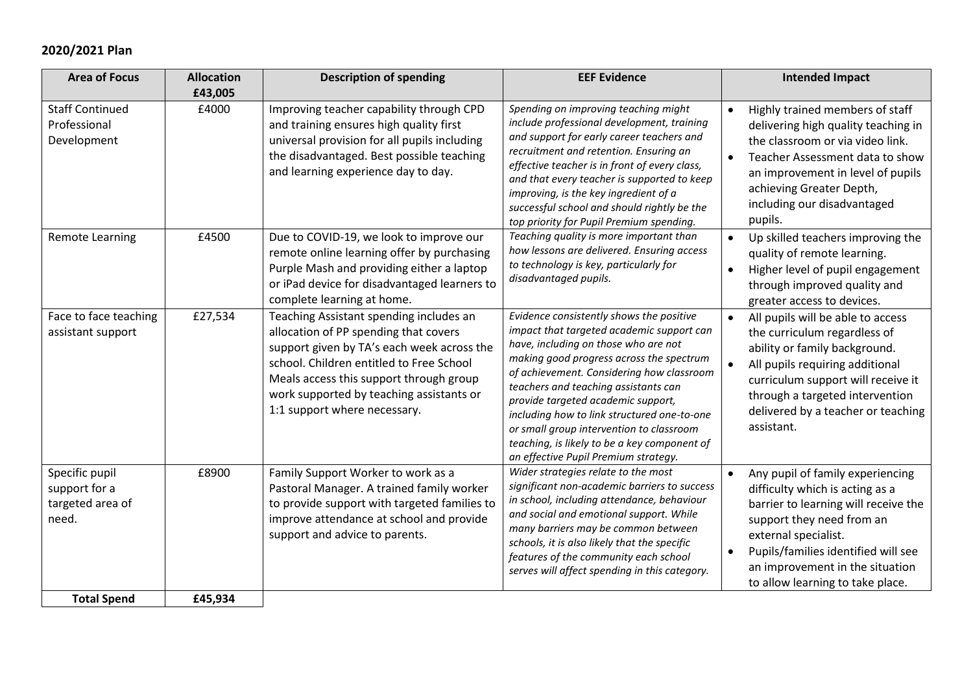### **2020/2021 Plan**

| <b>Area of Focus</b>                                         | <b>Allocation</b><br>£43,005 | <b>Description of spending</b>                                                                                                                                                                                                                                                                    | <b>EEF Evidence</b>                                                                                                                                                                                                                                                                                                                                                                                                                                                                     | <b>Intended Impact</b>                                                                                                                                                                                                                                                                                   |
|--------------------------------------------------------------|------------------------------|---------------------------------------------------------------------------------------------------------------------------------------------------------------------------------------------------------------------------------------------------------------------------------------------------|-----------------------------------------------------------------------------------------------------------------------------------------------------------------------------------------------------------------------------------------------------------------------------------------------------------------------------------------------------------------------------------------------------------------------------------------------------------------------------------------|----------------------------------------------------------------------------------------------------------------------------------------------------------------------------------------------------------------------------------------------------------------------------------------------------------|
| <b>Staff Continued</b><br>Professional<br>Development        | £4000                        | Improving teacher capability through CPD<br>and training ensures high quality first<br>universal provision for all pupils including<br>the disadvantaged. Best possible teaching<br>and learning experience day to day.                                                                           | Spending on improving teaching might<br>include professional development, training<br>and support for early career teachers and<br>recruitment and retention. Ensuring an<br>effective teacher is in front of every class,<br>and that every teacher is supported to keep<br>improving, is the key ingredient of a<br>successful school and should rightly be the<br>top priority for Pupil Premium spending.                                                                           | Highly trained members of staff<br>$\bullet$<br>delivering high quality teaching in<br>the classroom or via video link.<br>Teacher Assessment data to show<br>$\bullet$<br>an improvement in level of pupils<br>achieving Greater Depth,<br>including our disadvantaged<br>pupils.                       |
| <b>Remote Learning</b>                                       | £4500                        | Due to COVID-19, we look to improve our<br>remote online learning offer by purchasing<br>Purple Mash and providing either a laptop<br>or iPad device for disadvantaged learners to<br>complete learning at home.                                                                                  | Teaching quality is more important than<br>how lessons are delivered. Ensuring access<br>to technology is key, particularly for<br>disadvantaged pupils.                                                                                                                                                                                                                                                                                                                                | Up skilled teachers improving the<br>$\bullet$<br>quality of remote learning.<br>Higher level of pupil engagement<br>$\bullet$<br>through improved quality and<br>greater access to devices.                                                                                                             |
| Face to face teaching<br>assistant support                   | £27,534                      | Teaching Assistant spending includes an<br>allocation of PP spending that covers<br>support given by TA's each week across the<br>school. Children entitled to Free School<br>Meals access this support through group<br>work supported by teaching assistants or<br>1:1 support where necessary. | Evidence consistently shows the positive<br>impact that targeted academic support can<br>have, including on those who are not<br>making good progress across the spectrum<br>of achievement. Considering how classroom<br>teachers and teaching assistants can<br>provide targeted academic support,<br>including how to link structured one-to-one<br>or small group intervention to classroom<br>teaching, is likely to be a key component of<br>an effective Pupil Premium strategy. | All pupils will be able to access<br>$\bullet$<br>the curriculum regardless of<br>ability or family background.<br>All pupils requiring additional<br>curriculum support will receive it<br>through a targeted intervention<br>delivered by a teacher or teaching<br>assistant.                          |
| Specific pupil<br>support for a<br>targeted area of<br>need. | £8900                        | Family Support Worker to work as a<br>Pastoral Manager. A trained family worker<br>to provide support with targeted families to<br>improve attendance at school and provide<br>support and advice to parents.                                                                                     | Wider strategies relate to the most<br>significant non-academic barriers to success<br>in school, including attendance, behaviour<br>and social and emotional support. While<br>many barriers may be common between<br>schools, it is also likely that the specific<br>features of the community each school<br>serves will affect spending in this category.                                                                                                                           | Any pupil of family experiencing<br>$\bullet$<br>difficulty which is acting as a<br>barrier to learning will receive the<br>support they need from an<br>external specialist.<br>Pupils/families identified will see<br>$\bullet$<br>an improvement in the situation<br>to allow learning to take place. |
| <b>Total Spend</b>                                           | £45,934                      |                                                                                                                                                                                                                                                                                                   |                                                                                                                                                                                                                                                                                                                                                                                                                                                                                         |                                                                                                                                                                                                                                                                                                          |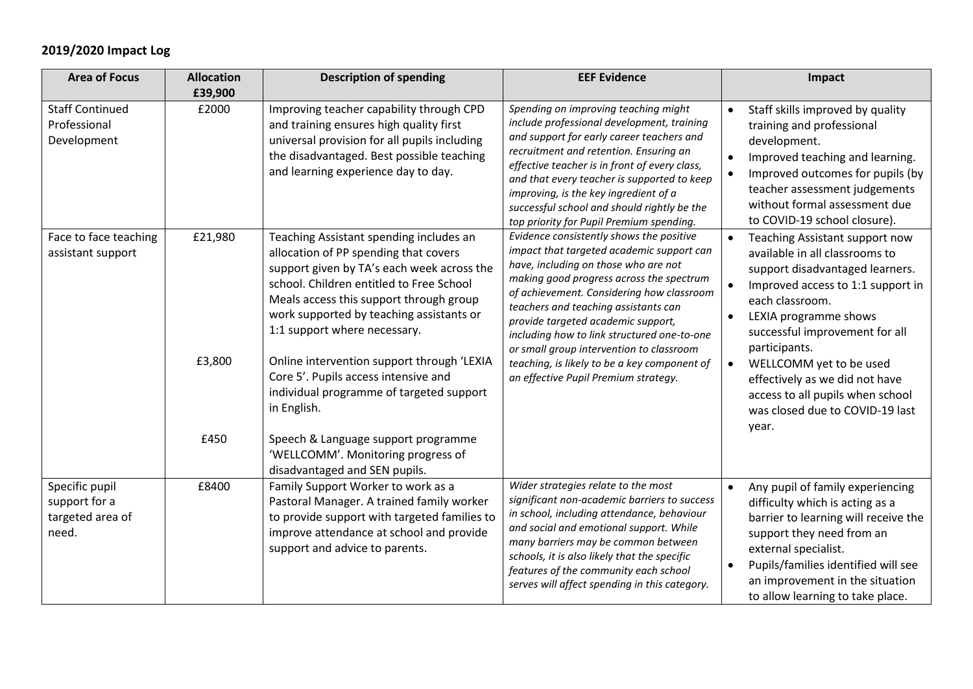### **2019/2020 Impact Log**

| <b>Area of Focus</b>                                                  | <b>Allocation</b><br>£39,900                                                                                                                                        | <b>Description of spending</b>                                                                                                                                                                                                                                                                    | <b>EEF Evidence</b>                                                                                                                                                                                                                                                                                                                                                                                           | Impact                                                                                                                                                                                                                                                                                      |
|-----------------------------------------------------------------------|---------------------------------------------------------------------------------------------------------------------------------------------------------------------|---------------------------------------------------------------------------------------------------------------------------------------------------------------------------------------------------------------------------------------------------------------------------------------------------|---------------------------------------------------------------------------------------------------------------------------------------------------------------------------------------------------------------------------------------------------------------------------------------------------------------------------------------------------------------------------------------------------------------|---------------------------------------------------------------------------------------------------------------------------------------------------------------------------------------------------------------------------------------------------------------------------------------------|
| <b>Staff Continued</b><br>Professional<br>Development                 | £2000                                                                                                                                                               | Improving teacher capability through CPD<br>and training ensures high quality first<br>universal provision for all pupils including<br>the disadvantaged. Best possible teaching<br>and learning experience day to day.                                                                           | Spending on improving teaching might<br>include professional development, training<br>and support for early career teachers and<br>recruitment and retention. Ensuring an<br>effective teacher is in front of every class,<br>and that every teacher is supported to keep<br>improving, is the key ingredient of a<br>successful school and should rightly be the<br>top priority for Pupil Premium spending. | Staff skills improved by quality<br>$\bullet$<br>training and professional<br>development.<br>Improved teaching and learning.<br>Improved outcomes for pupils (by<br>teacher assessment judgements<br>without formal assessment due<br>to COVID-19 school closure).                         |
| Face to face teaching<br>assistant support                            | £21,980                                                                                                                                                             | Teaching Assistant spending includes an<br>allocation of PP spending that covers<br>support given by TA's each week across the<br>school. Children entitled to Free School<br>Meals access this support through group<br>work supported by teaching assistants or<br>1:1 support where necessary. | Evidence consistently shows the positive<br>impact that targeted academic support can<br>have, including on those who are not<br>making good progress across the spectrum<br>of achievement. Considering how classroom<br>teachers and teaching assistants can<br>provide targeted academic support,<br>including how to link structured one-to-one<br>or small group intervention to classroom               | Teaching Assistant support now<br>available in all classrooms to<br>support disadvantaged learners.<br>Improved access to 1:1 support in<br>each classroom.<br>LEXIA programme shows<br>$\bullet$<br>successful improvement for all<br>participants.                                        |
| £3,800<br>Core 5'. Pupils access intensive and<br>in English.<br>£450 | Online intervention support through 'LEXIA<br>individual programme of targeted support<br>Speech & Language support programme<br>'WELLCOMM'. Monitoring progress of | teaching, is likely to be a key component of<br>an effective Pupil Premium strategy.                                                                                                                                                                                                              | WELLCOMM yet to be used<br>$\bullet$<br>effectively as we did not have<br>access to all pupils when school<br>was closed due to COVID-19 last<br>year.                                                                                                                                                                                                                                                        |                                                                                                                                                                                                                                                                                             |
| Specific pupil<br>support for a<br>targeted area of<br>need.          | £8400                                                                                                                                                               | disadvantaged and SEN pupils.<br>Family Support Worker to work as a<br>Pastoral Manager. A trained family worker<br>to provide support with targeted families to<br>improve attendance at school and provide<br>support and advice to parents.                                                    | Wider strategies relate to the most<br>significant non-academic barriers to success<br>in school, including attendance, behaviour<br>and social and emotional support. While<br>many barriers may be common between<br>schools, it is also likely that the specific<br>features of the community each school<br>serves will affect spending in this category.                                                 | Any pupil of family experiencing<br>$\bullet$<br>difficulty which is acting as a<br>barrier to learning will receive the<br>support they need from an<br>external specialist.<br>Pupils/families identified will see<br>an improvement in the situation<br>to allow learning to take place. |